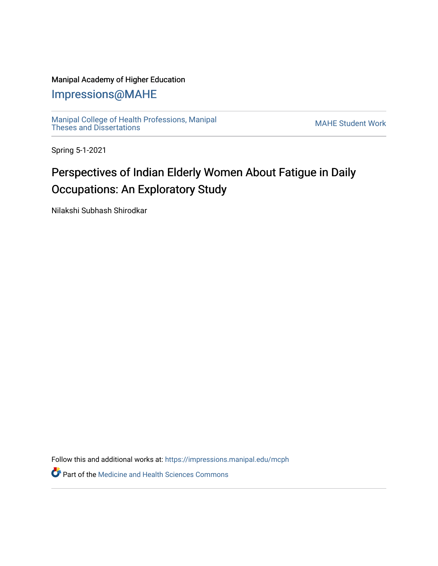### Manipal Academy of Higher Education

## [Impressions@MAHE](https://impressions.manipal.edu/)

[Manipal College of Health Professions, Manipal](https://impressions.manipal.edu/mcph) [Theses and Dissertations](https://impressions.manipal.edu/mcph) Mateur Channel Manners and Dissertations MAHE Student Work

Spring 5-1-2021

# Perspectives of Indian Elderly Women About Fatigue in Daily Occupations: An Exploratory Study

Nilakshi Subhash Shirodkar

Follow this and additional works at: [https://impressions.manipal.edu/mcph](https://impressions.manipal.edu/mcph?utm_source=impressions.manipal.edu%2Fmcph%2F121&utm_medium=PDF&utm_campaign=PDFCoverPages)

**Part of the Medicine and Health Sciences Commons**